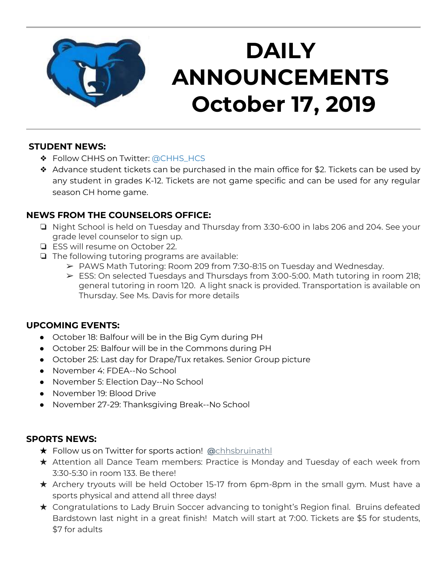

## **DAILY ANNOUNCEMENTS October 17, 2019**

#### **STUDENT NEWS:**

- ❖ Follow CHHS on Twitter: [@CHHS\\_HCS](https://twitter.com/CHHS_HCS)
- ❖ Advance student tickets can be purchased in the main office for \$2. Tickets can be used by any student in grades K-12. Tickets are not game specific and can be used for any regular season CH home game.

## **NEWS FROM THE COUNSELORS OFFICE:**

- ❏ Night School is held on Tuesday and Thursday from 3:30-6:00 in labs 206 and 204. See your grade level counselor to sign up.
- ❏ ESS will resume on October 22.
- ❏ The following tutoring programs are available:
	- ➢ PAWS Math Tutoring: Room 209 from 7:30-8:15 on Tuesday and Wednesday.
	- ➢ ESS: On selected Tuesdays and Thursdays from 3:00-5:00. Math tutoring in room 218; general tutoring in room 120. A light snack is provided. Transportation is available on Thursday. See Ms. Davis for more details

#### **UPCOMING EVENTS:**

- October 18: Balfour will be in the Big Gym during PH
- October 25: Balfour will be in the Commons during PH
- October 25: Last day for Drape/Tux retakes. Senior Group picture
- November 4: FDEA--No School
- November 5: Election Day--No School
- November 19: Blood Drive
- November 27-29: Thanksgiving Break--No School

#### **SPORTS NEWS:**

- ★ Follow us on Twitter for sports action! **[@](https://twitter.com/chhsbruinathl)**[chhsbruinathl](https://twitter.com/chhsbruinathl)
- ★ Attention all Dance Team members: Practice is Monday and Tuesday of each week from 3:30-5:30 in room 133. Be there!
- ★ Archery tryouts will be held October 15-17 from 6pm-8pm in the small gym. Must have a sports physical and attend all three days!
- ★ Congratulations to Lady Bruin Soccer advancing to tonight's Region final. Bruins defeated Bardstown last night in a great finish! Match will start at 7:00. Tickets are \$5 for students, \$7 for adults